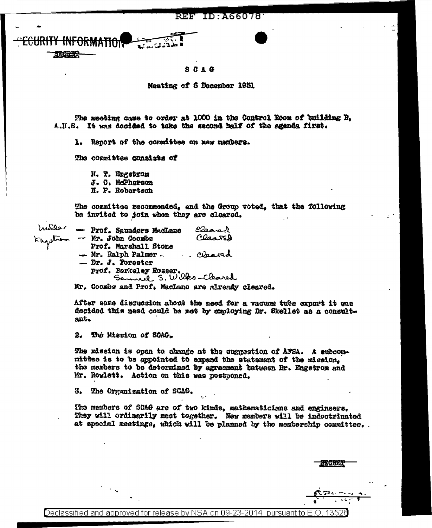ID: A66078 REF

## $S$   $A$   $A$

Moeting of 6 Dacember 1951

The meeting came to order at 1000 in the Control Room of building B. A.H.S. It was decided to take the second half of the agenda first.

1. Report of the committee on new members.

The committes consists of

H. T. Engstrom J. C. McPherson H. P. Robortson

The committee recommended, and the Group voted, that the following be invited to join when they are cleared.

naller - Prof. Saunders MacLane Olsanad Clearch  $\sim$  Mr. John Coomba Prof. Marshall Stone - Mr. Ralph Palmer -. Cleared  $-$  Dr. J. Forester Prof. Berkeley Rosser.<br>Samuel S. Wilks-Cleared

Mr. Coombs and Prof. MacLane are already cleared.

After some discussion about the need for a vacumm tube expert it was decided this need could be met by employing Dr. Skellet as a consultant.

The Mission of SCAG.  $2.$ 

The mission is open to change at the suggestion of AFSA. A subcommittee is to be appointed to expand the statement of the mission. the members to be determined by agreement between Dr. Engetrom and Mr. Rowlett. Action on this was postponed.

3. The Organization of SCAG.

Tho members of SCAG are of two kinds, mathematicians and engineers. They will ordinarily mest together. New members will be indoctrinated at special meetings, which will be planned by the membership committee.

Declassified and approved for release by NSA on 09-23-2014 pursuant to F ∩